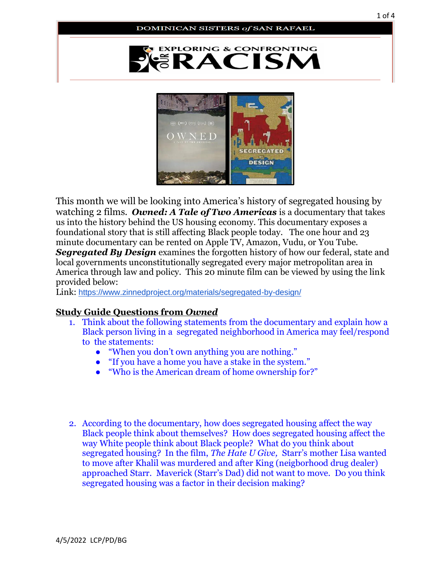



This month we will be looking into America's history of segregated housing by watching 2 films. *Owned: A Tale of Two Americas* is a documentary that takes us into the history behind the US housing economy. This documentary exposes a foundational story that is still affecting Black people today. The one hour and 23 minute documentary can be rented on Apple TV, Amazon, Vudu, or You Tube. *Segregated By Design* examines the forgotten history of how our federal, state and local governments unconstitutionally segregated every major metropolitan area in America through law and policy. This 20 minute film can be viewed by using the link provided below:

Link: <https://www.zinnedproject.org/materials/segregated-by-design/>

# **Study Guide Questions from** *Owned*

- 1. Think about the following statements from the documentary and explain how a Black person living in a segregated neighborhood in America may feel/respond to the statements:
	- "When you don't own anything you are nothing."
	- "If you have a home you have a stake in the system."
	- "Who is the American dream of home ownership for?"
- 2. According to the documentary, how does segregated housing affect the way Black people think about themselves? How does segregated housing affect the way White people think about Black people? What do you think about segregated housing? In the film, *The Hate U Give,* Starr's mother Lisa wanted to move after Khalil was murdered and after King (neigborhood drug dealer) approached Starr. Maverick (Starr's Dad) did not want to move. Do you think segregated housing was a factor in their decision making?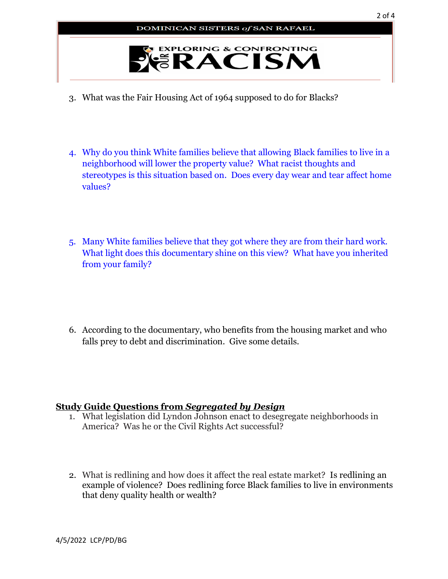

- 3. What was the Fair Housing Act of 1964 supposed to do for Blacks?
- 4. Why do you think White families believe that allowing Black families to live in a neighborhood will lower the property value? What racist thoughts and stereotypes is this situation based on. Does every day wear and tear affect home values?
- 5. Many White families believe that they got where they are from their hard work. What light does this documentary shine on this view? What have you inherited from your family?
- 6. According to the documentary, who benefits from the housing market and who falls prey to debt and discrimination. Give some details.

### **Study Guide Questions from** *Segregated by Design*

- 1. What legislation did Lyndon Johnson enact to desegregate neighborhoods in America? Was he or the Civil Rights Act successful?
- 2. What is redlining and how does it affect the real estate market? Is redlining an example of violence? Does redlining force Black families to live in environments that deny quality health or wealth?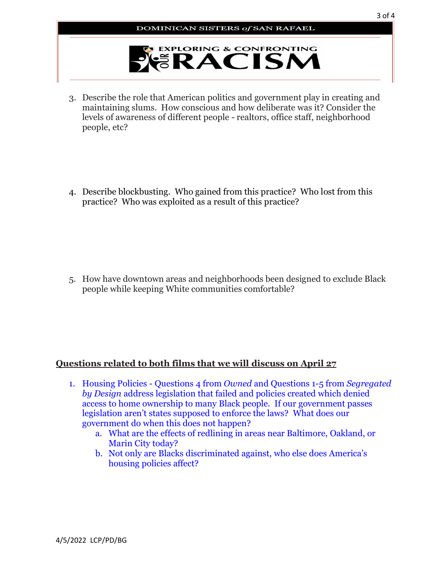

- 3. Describe the role that American politics and government play in creating and maintaining slums. How conscious and how deliberate was it? Consider the levels of awareness of different people - realtors, office staff, neighborhood people, etc?
- 4. Describe blockbusting. Who gained from this practice? Who lost from this practice? Who was exploited as a result of this practice?

5. How have downtown areas and neighborhoods been designed to exclude Black people while keeping White communities comfortable?

# **Questions related to both films that we will discuss on April 27**

- 1. Housing Policies Questions 4 from *Owned* and Questions 1-5 from *Segregated by Design* address legislation that failed and policies created which denied access to home ownership to many Black people. If our government passes legislation aren't states supposed to enforce the laws? What does our government do when this does not happen?
	- a. What are the effects of redlining in areas near Baltimore, Oakland, or Marin City today?
	- b. Not only are Blacks discriminated against, who else does America's housing policies affect?